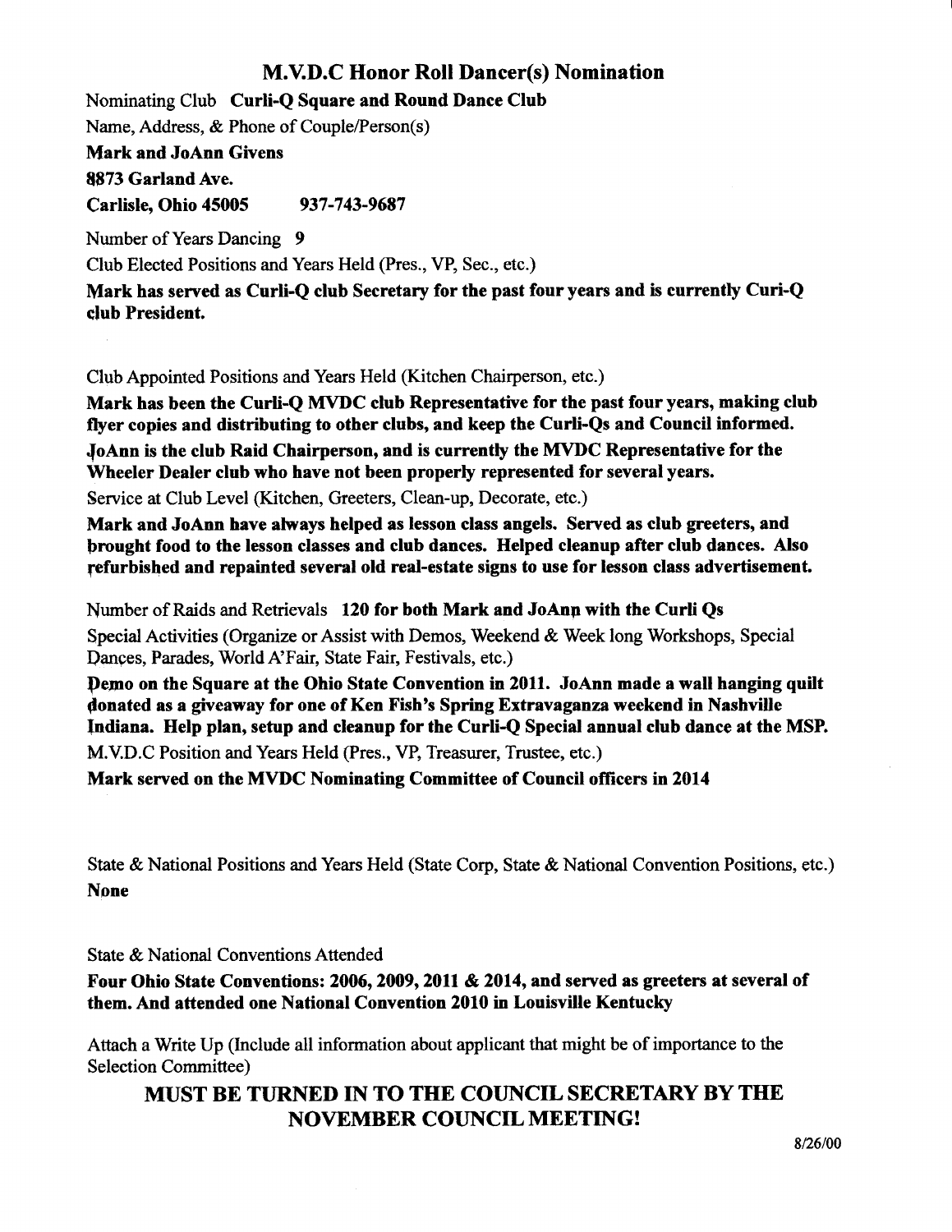## M.V.D.C Honor Roll Dancer(s) Nomination

Nominating Club Curli-Q Square and Round Dance Club

Name, Address,  $\&$  Phone of Couple/Person(s)

### Mark and JoAnn Givens

8873 Garland Ave.

Carlisle, Ohio 45005 937-743-9687

Number of Years Dancing 9

Club Elected Positions and Years Held (Pres., VP, Sec., etc.)

Mark has served as Curli-O club Secretary for the past four years and is currently Curi-Q club President.

Club Appointed Positions and Years Held (Kitchen Chairperson, etc.)

Mark has been the Curli-Q MVDC club Representative for the past four years, making club flyer copies and distributing to other clubs, and keep the Curli-Qs and Council informed. JoAnn is the club Raid Chairperson, and is currently the MVDC Representative for the Wheeler Dealer club who have not been properly represented for several years.

Service at Club Level (Kitchen, Greeters, Clean-up, Decorate, etc.)

Mark and JoAnn have always helped as lesson class angels. Served as club greeters, and brought food to the lesson classes and club dances. Helped cleanup after club dances. Also refurbished and repainted several old real-estate signs to use for lesson class advertisement.

Number of Raids and Retrievals 120 for both Mark and JoAnp with the Curli Qs Special Activities (Organize or Assist with Demos, Weekend & Week long Workshops, Special Dances, Parades, World A'Fair, State Fair, Festivals, etc.)

pemo on the Square at the Ohio State Convention in 2011. JoAnn made a wall hanging quilt donated as a giveaway for one of Ken Fish's Spring Extravaganza weekend in Nashville Indiana. Help plan, setup and cleanup for the Curli-O Special annual club dance at the MSP. M.V.D.C Position and Years Held (Pres., VP, Treasurer, Trustee, etc.)

Mark served on the MVDC Nominating Committee of Council officers in 2014

State & National Positions and Years Held (State Corp, State & National Convention Positions, etc.) None

State & National Conventions Attended

Four Ohio State Conventions: 2006, 2009, 2011  $& 2014$ , and served as greeters at several of them. And attended one National Convention 2010 in Louisville Kentuckv

Attach a Write Up (Include all information about applicant that might be of importance to the Selection Committee)

# MUST BE TURNED IN TO THE COUNCIL SECRETARY BY THE NOVEMBER COUNCIL MEETING!